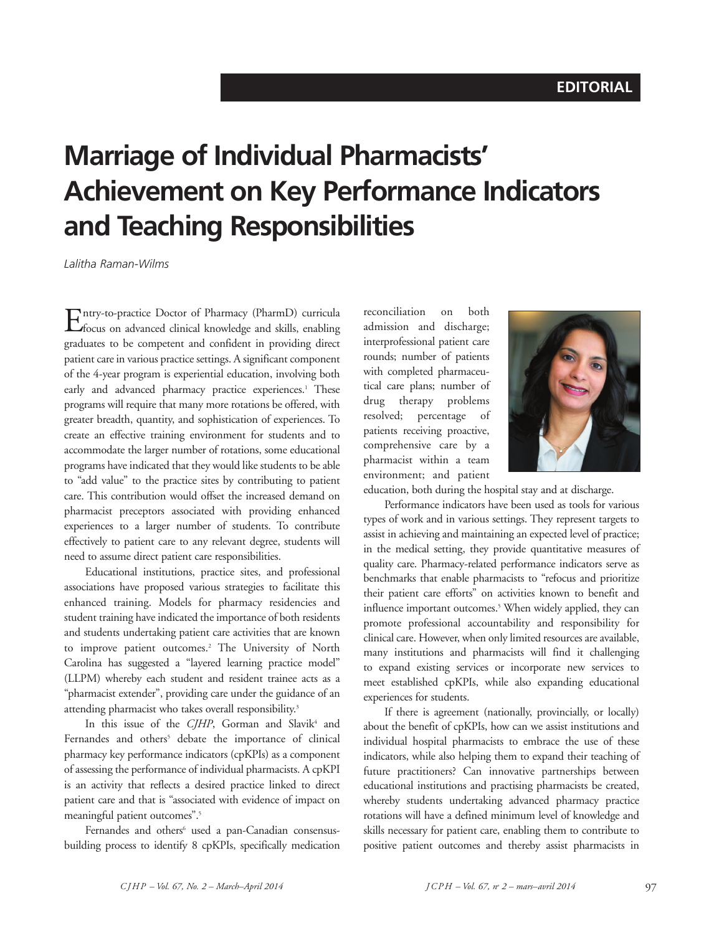## **Marriage of Individual Pharmacists' Achievement on Key Performance Indicators and Teaching Responsibilities**

*Lalitha Raman-Wilms*

Entry-to-practice Doctor of Pharmacy (PharmD) curricula focus on advanced clinical knowledge and skills, enabling graduates to be competent and confident in providing direct patient care in various practice settings. A significant component of the 4-year program is experiential education, involving both early and advanced pharmacy practice experiences. <sup>1</sup> These programs will require that many more rotations be offered, with greater breadth, quantity, and sophistication of experiences. To create an effective training environment for students and to accommodate the larger number of rotations, some educational programs have indicated that they would like students to be able to "add value" to the practice sites by contributing to patient care. This contribution would offset the increased demand on pharmacist preceptors associated with providing enhanced experiences to a larger number of students. To contribute effectively to patient care to any relevant degree, students will need to assume direct patient care responsibilities.

Educational institutions, practice sites, and professional associations have proposed various strategies to facilitate this enhanced training. Models for pharmacy residencies and student training have indicated the importance of both residents and students undertaking patient care activities that are known to improve patient outcomes. <sup>2</sup> The University of North Carolina has suggested a "layered learning practice model" (LLPM) whereby each student and resident trainee acts as a "pharmacist extender", providing care under the guidance of an attending pharmacist who takes overall responsibility. 3

In this issue of the *CJHP*, Gorman and Slavik<sup>4</sup> and Fernandes and others<sup>5</sup> debate the importance of clinical pharmacy key performance indicators (cpKPIs) as a component of assessing the performance of individual pharmacists. A cpKPI is an activity that reflects a desired practice linked to direct patient care and that is "associated with evidence of impact on meaningful patient outcomes".<sup>5</sup>

Fernandes and others <sup>6</sup> used a pan-Canadian consensusbuilding process to identify 8 cpKPIs, specifically medication reconciliation on both admission and discharge; interprofessional patient care rounds; number of patients with completed pharmaceutical care plans; number of drug therapy problems resolved; percentage of patients receiving proactive, comprehensive care by a pharmacist within a team environment; and patient



education, both during the hospital stay and at discharge.

Performance indicators have been used as tools for various types of work and in various settings. They represent targets to assist in achieving and maintaining an expected level of practice; in the medical setting, they provide quantitative measures of quality care. Pharmacy-related performance indicators serve as benchmarks that enable pharmacists to "refocus and prioritize their patient care efforts" on activities known to benefit and influence important outcomes. <sup>5</sup> When widely applied, they can promote professional accountability and responsibility for clinical care. However, when only limited resources are available, many institutions and pharmacists will find it challenging to expand existing services or incorporate new services to meet established cpKPIs, while also expanding educational experiences for students.

If there is agreement (nationally, provincially, or locally) about the benefit of cpKPIs, how can we assist institutions and individual hospital pharmacists to embrace the use of these indicators, while also helping them to expand their teaching of future practitioners? Can innovative partnerships between educational institutions and practising pharmacists be created, whereby students undertaking advanced pharmacy practice rotations will have a defined minimum level of knowledge and skills necessary for patient care, enabling them to contribute to positive patient outcomes and thereby assist pharmacists in